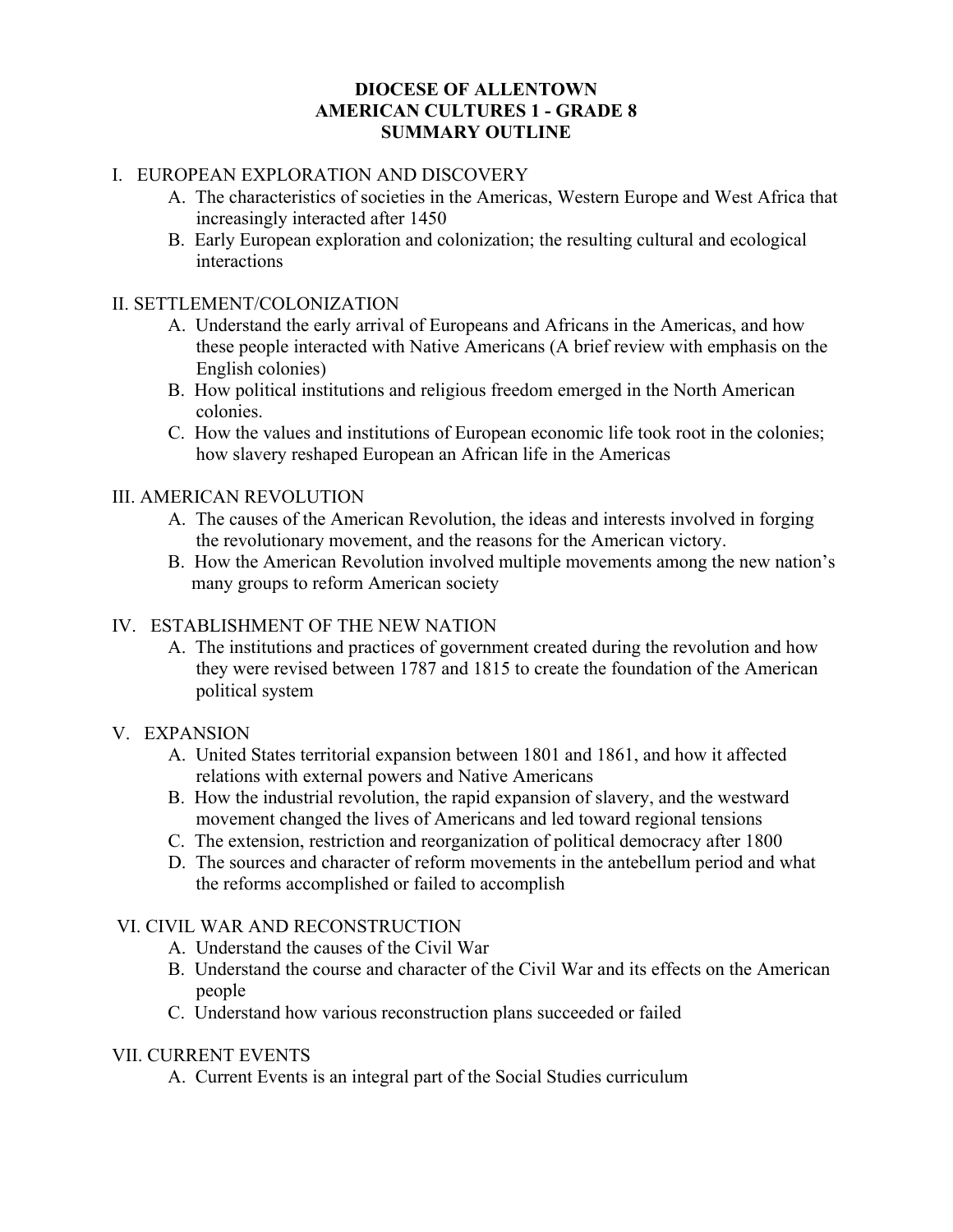## **DIOCESE OF ALLENTOWN AMERICAN CULTURES 1 - GRADE 8 SUMMARY OUTLINE**

# I. EUROPEAN EXPLORATION AND DISCOVERY

- A. The characteristics of societies in the Americas, Western Europe and West Africa that increasingly interacted after 1450
- B. Early European exploration and colonization; the resulting cultural and ecological interactions

## II. SETTLEMENT/COLONIZATION

- A. Understand the early arrival of Europeans and Africans in the Americas, and how these people interacted with Native Americans (A brief review with emphasis on the English colonies)
- B. How political institutions and religious freedom emerged in the North American colonies.
- C. How the values and institutions of European economic life took root in the colonies; how slavery reshaped European an African life in the Americas

### III. AMERICAN REVOLUTION

- A. The causes of the American Revolution, the ideas and interests involved in forging the revolutionary movement, and the reasons for the American victory.
- B. How the American Revolution involved multiple movements among the new nation's many groups to reform American society

## IV. ESTABLISHMENT OF THE NEW NATION

 A. The institutions and practices of government created during the revolution and how they were revised between 1787 and 1815 to create the foundation of the American political system

#### V. EXPANSION

- A. United States territorial expansion between 1801 and 1861, and how it affected relations with external powers and Native Americans
- B. How the industrial revolution, the rapid expansion of slavery, and the westward movement changed the lives of Americans and led toward regional tensions
- C. The extension, restriction and reorganization of political democracy after 1800
- D. The sources and character of reform movements in the antebellum period and what the reforms accomplished or failed to accomplish

## VI. CIVIL WAR AND RECONSTRUCTION

- A. Understand the causes of the Civil War
- B. Understand the course and character of the Civil War and its effects on the American people
- C. Understand how various reconstruction plans succeeded or failed

#### VII. CURRENT EVENTS

A. Current Events is an integral part of the Social Studies curriculum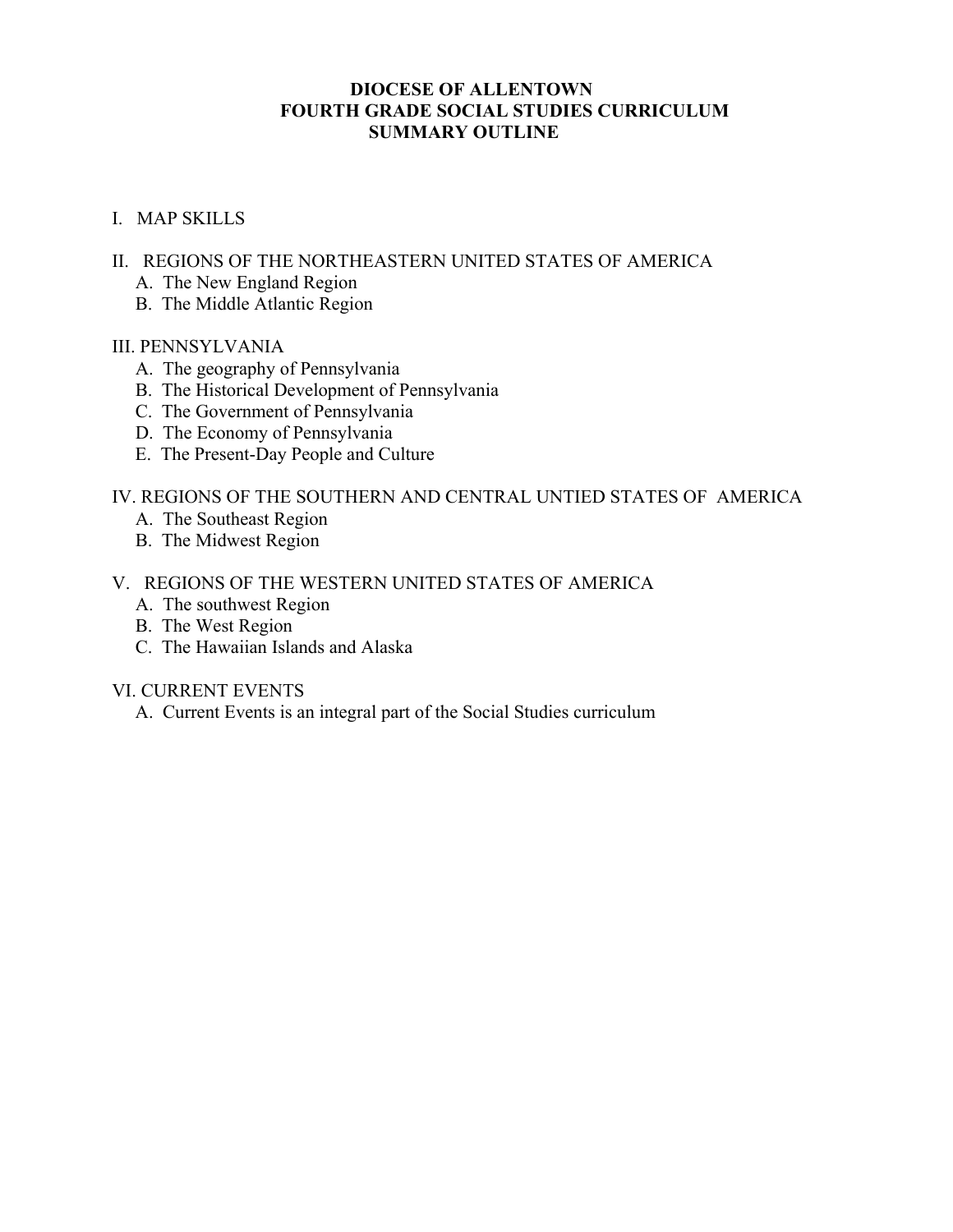## **DIOCESE OF ALLENTOWN FOURTH GRADE SOCIAL STUDIES CURRICULUM SUMMARY OUTLINE**

### I. MAP SKILLS

- II. REGIONS OF THE NORTHEASTERN UNITED STATES OF AMERICA
	- A. The New England Region
	- B. The Middle Atlantic Region

#### III. PENNSYLVANIA

- A. The geography of Pennsylvania
- B. The Historical Development of Pennsylvania
- C. The Government of Pennsylvania
- D. The Economy of Pennsylvania
- E. The Present-Day People and Culture

## IV. REGIONS OF THE SOUTHERN AND CENTRAL UNTIED STATES OF AMERICA

- A. The Southeast Region
- B. The Midwest Region

# V. REGIONS OF THE WESTERN UNITED STATES OF AMERICA

- A. The southwest Region
- B. The West Region
- C. The Hawaiian Islands and Alaska

#### VI. CURRENT EVENTS

A. Current Events is an integral part of the Social Studies curriculum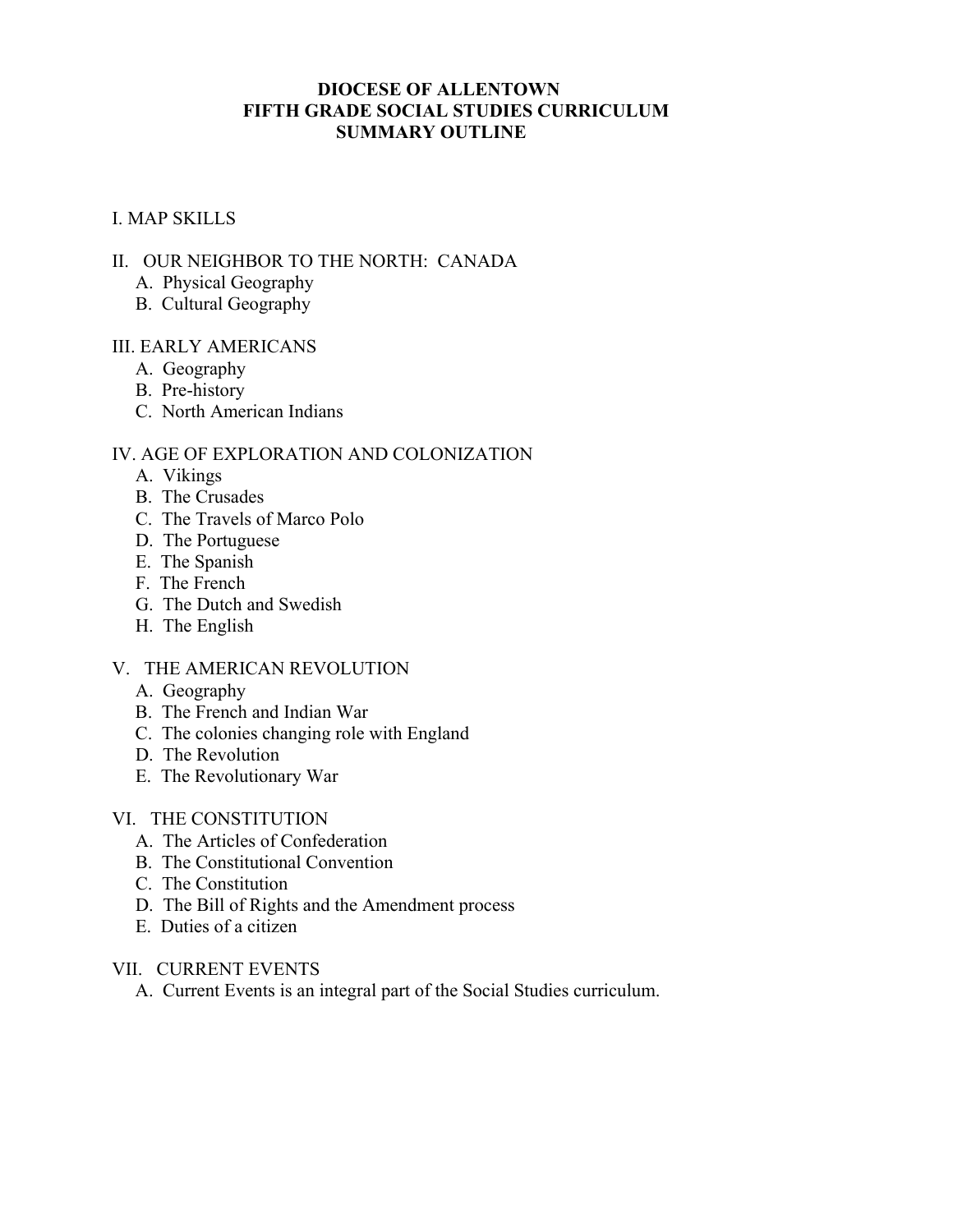### **DIOCESE OF ALLENTOWN FIFTH GRADE SOCIAL STUDIES CURRICULUM SUMMARY OUTLINE**

## I. MAP SKILLS

## II. OUR NEIGHBOR TO THE NORTH: CANADA

- A. Physical Geography
- B. Cultural Geography

## III. EARLY AMERICANS

- A. Geography
- B. Pre-history
- C. North American Indians

# IV. AGE OF EXPLORATION AND COLONIZATION

- A. Vikings
- B. The Crusades
- C. The Travels of Marco Polo
- D. The Portuguese
- E. The Spanish
- F. The French
- G. The Dutch and Swedish
- H. The English

## V. THE AMERICAN REVOLUTION

- A. Geography
- B. The French and Indian War
- C. The colonies changing role with England
- D. The Revolution
- E. The Revolutionary War
- VI. THE CONSTITUTION
	- A. The Articles of Confederation
	- B. The Constitutional Convention
	- C. The Constitution
	- D. The Bill of Rights and the Amendment process
	- E. Duties of a citizen

## VII. CURRENT EVENTS

A. Current Events is an integral part of the Social Studies curriculum.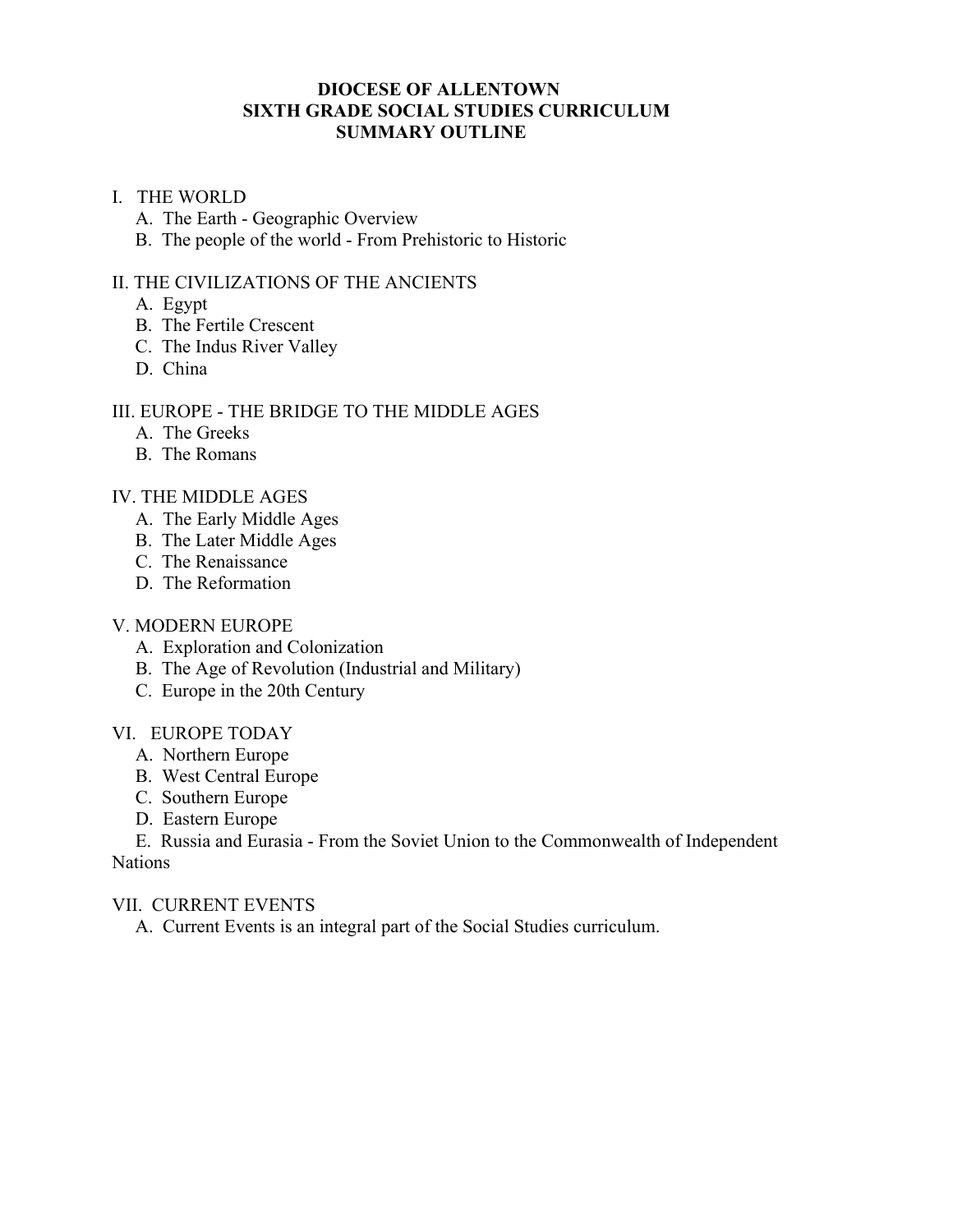## **DIOCESE OF ALLENTOWN SIXTH GRADE SOCIAL STUDIES CURRICULUM SUMMARY OUTLINE**

### I. THE WORLD

- A. The Earth Geographic Overview
- B. The people of the world From Prehistoric to Historic

### II. THE CIVILIZATIONS OF THE ANCIENTS

- A. Egypt
- B. The Fertile Crescent
- C. The Indus River Valley
- D. China

### III. EUROPE - THE BRIDGE TO THE MIDDLE AGES

- A. The Greeks
- B. The Romans

### IV. THE MIDDLE AGES

- A. The Early Middle Ages
- B. The Later Middle Ages
- C. The Renaissance
- D. The Reformation

#### V. MODERN EUROPE

- A. Exploration and Colonization
- B. The Age of Revolution (Industrial and Military)
- C. Europe in the 20th Century

#### VI. EUROPE TODAY

- A. Northern Europe
- B. West Central Europe
- C. Southern Europe
- D. Eastern Europe

 E. Russia and Eurasia - From the Soviet Union to the Commonwealth of Independent **Nations** 

#### VII. CURRENT EVENTS

A. Current Events is an integral part of the Social Studies curriculum.